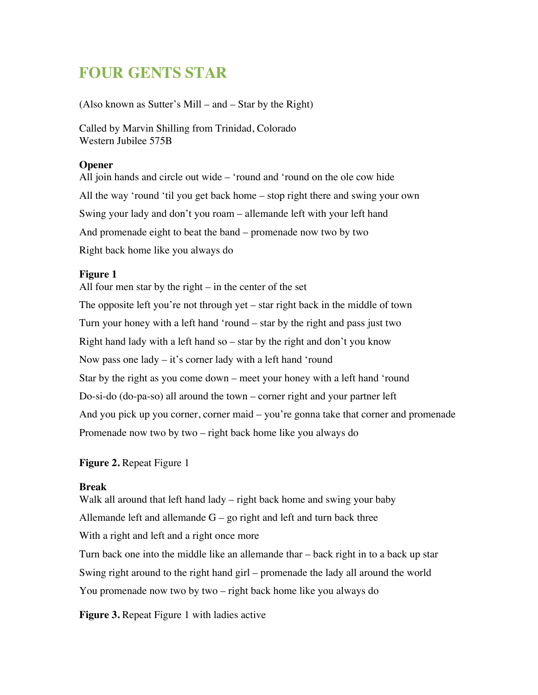# **FOUR GENTS STAR**

(Also known as Sutter's Mill – and – Star by the Right)

Called by Marvin Shilling from Trinidad, Colorado Western Jubilee 575B

## **Opener**

All join hands and circle out wide – 'round and 'round on the ole cow hide All the way 'round 'til you get back home – stop right there and swing your own Swing your lady and don't you roam – allemande left with your left hand And promenade eight to beat the band – promenade now two by two Right back home like you always do

## **Figure 1**

All four men star by the right – in the center of the set The opposite left you're not through yet – star right back in the middle of town Turn your honey with a left hand 'round – star by the right and pass just two Right hand lady with a left hand so – star by the right and don't you know Now pass one lady – it's corner lady with a left hand 'round Star by the right as you come down – meet your honey with a left hand 'round Do-si-do (do-pa-so) all around the town – corner right and your partner left And you pick up you corner, corner maid – you're gonna take that corner and promenade Promenade now two by two – right back home like you always do

## **Figure 2.** Repeat Figure 1

## **Break**

Walk all around that left hand lady – right back home and swing your baby Allemande left and allemande  $G - go$  right and left and turn back three With a right and left and a right once more Turn back one into the middle like an allemande thar – back right in to a back up star Swing right around to the right hand girl – promenade the lady all around the world You promenade now two by two – right back home like you always do

**Figure 3.** Repeat Figure 1 with ladies active